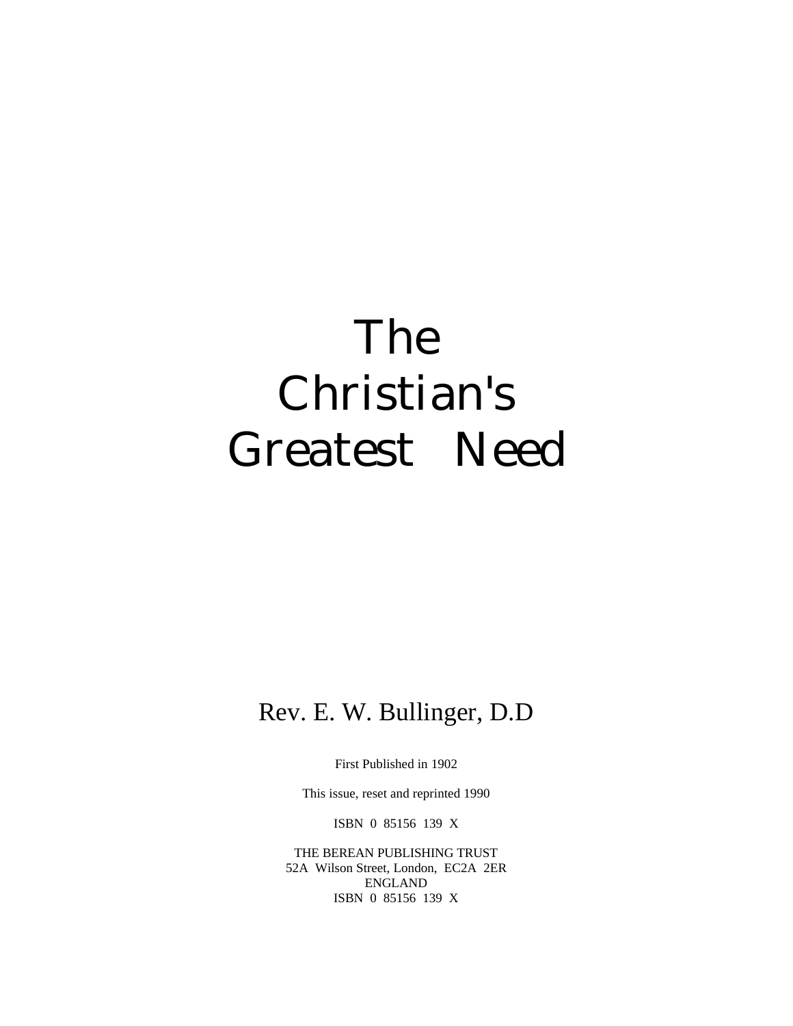# The Christian's Greatest Need

### Rev. E. W. Bullinger, D.D

First Published in 1902

This issue, reset and reprinted 1990

ISBN 0 85156 139 X

THE BEREAN PUBLISHING TRUST 52A Wilson Street, London, EC2A 2ER ENGLAND ISBN 0 85156 139 X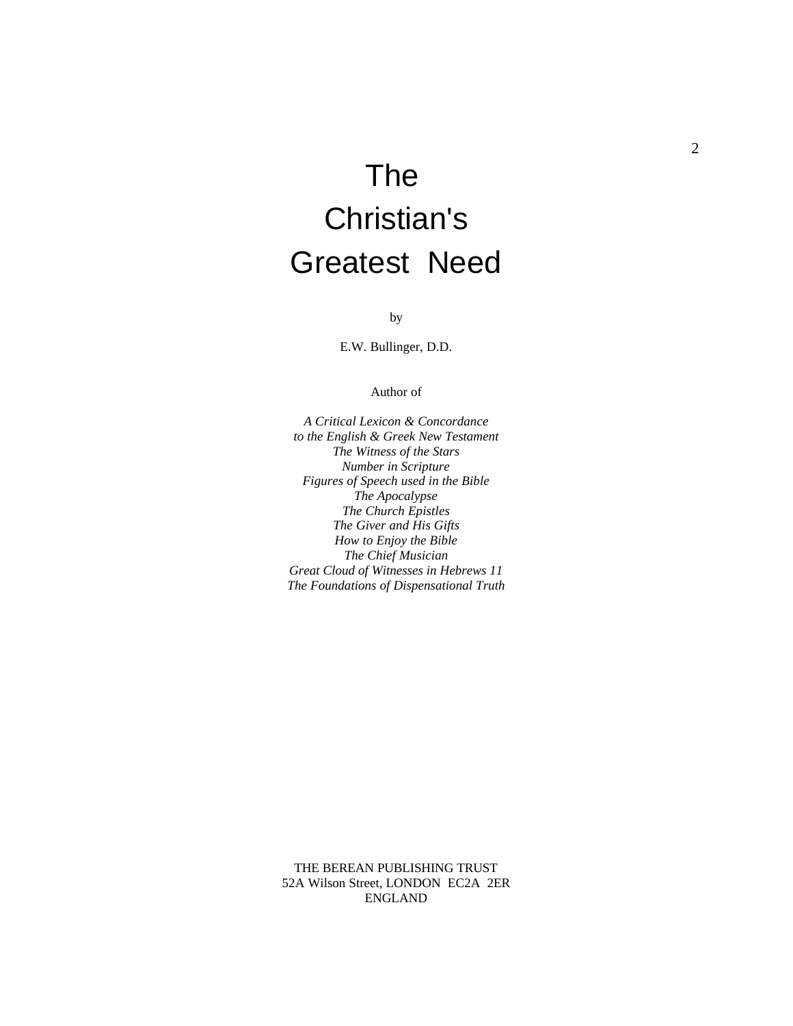## The Christian's Greatest Need

by

E.W. Bullinger, D.D.

#### Author of

*A Critical Lexicon & Concordance to the English & Greek New Testament The Witness of the Stars Number in Scripture Figures of Speech used in the Bible The Apocalypse The Church Epistles The Giver and His Gifts How to Enjoy the Bible The Chief Musician Great Cloud of Witnesses in Hebrews 11 The Foundations of Dispensational Truth*

THE BEREAN PUBLISHING TRUST 52A Wilson Street, LONDON EC2A 2ER ENGLAND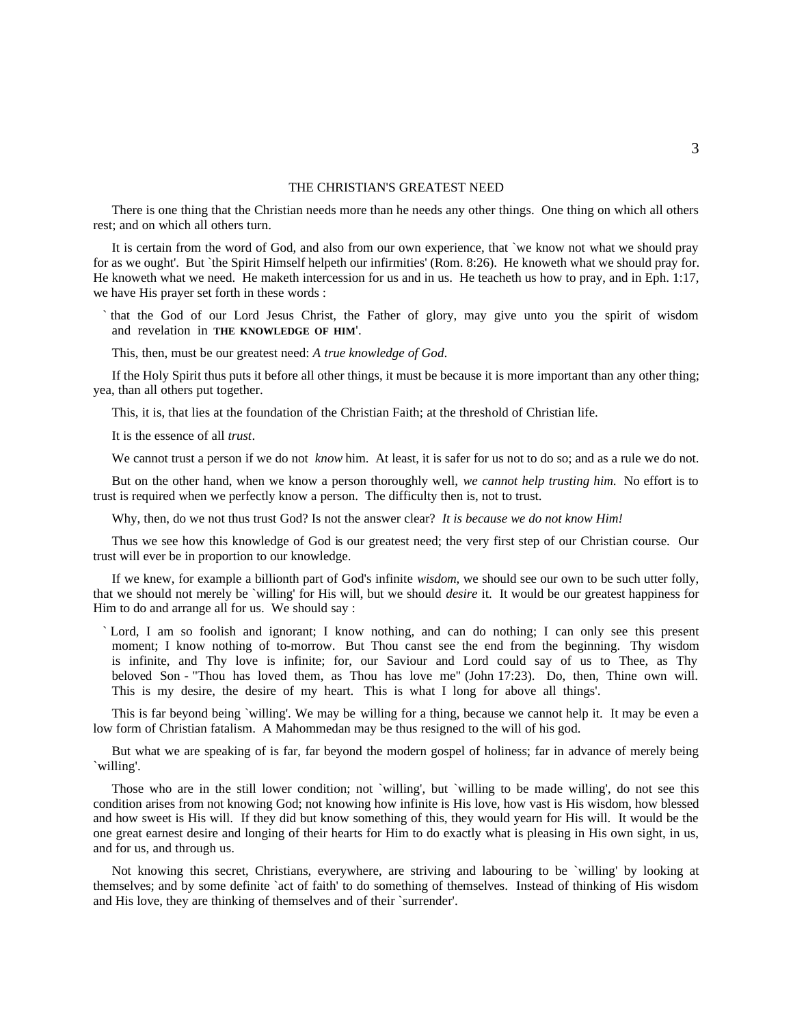#### THE CHRISTIAN'S GREATEST NEED

There is one thing that the Christian needs more than he needs any other things. One thing on which all others rest; and on which all others turn.

It is certain from the word of God, and also from our own experience, that `we know not what we should pray for as we ought'. But `the Spirit Himself helpeth our infirmities' (Rom. 8:26). He knoweth what we should pray for. He knoweth what we need. He maketh intercession for us and in us. He teacheth us how to pray, and in Eph. 1:17, we have His prayer set forth in these words :

` that the God of our Lord Jesus Christ, the Father of glory, may give unto you the spirit of wisdom and revelation in **THE KNOWLEDGE OF HIM**'.

This, then, must be our greatest need: *A true knowledge of God*.

If the Holy Spirit thus puts it before all other things, it must be because it is more important than any other thing; yea, than all others put together.

This, it is, that lies at the foundation of the Christian Faith; at the threshold of Christian life.

It is the essence of all *trust*.

We cannot trust a person if we do not *know* him. At least, it is safer for us not to do so; and as a rule we do not.

But on the other hand, when we know a person thoroughly well, *we cannot help trusting him*. No effort is to trust is required when we perfectly know a person. The difficulty then is, not to trust.

Why, then, do we not thus trust God? Is not the answer clear? *It is because we do not know Him!*

Thus we see how this knowledge of God is our greatest need; the very first step of our Christian course. Our trust will ever be in proportion to our knowledge.

If we knew, for example a billionth part of God's infinite *wisdom*, we should see our own to be such utter folly, that we should not merely be `willing' for His will, but we should *desire* it. It would be our greatest happiness for Him to do and arrange all for us. We should say :

` Lord, I am so foolish and ignorant; I know nothing, and can do nothing; I can only see this present moment; I know nothing of to-morrow. But Thou canst see the end from the beginning. Thy wisdom is infinite, and Thy love is infinite; for, our Saviour and Lord could say of us to Thee, as Thy beloved Son - "Thou has loved them, as Thou has love me" (John 17:23). Do, then, Thine own will. This is my desire, the desire of my heart. This is what I long for above all things'.

This is far beyond being `willing'. We may be willing for a thing, because we cannot help it. It may be even a low form of Christian fatalism. A Mahommedan may be thus resigned to the will of his god.

But what we are speaking of is far, far beyond the modern gospel of holiness; far in advance of merely being `willing'.

Those who are in the still lower condition; not `willing', but `willing to be made willing', do not see this condition arises from not knowing God; not knowing how infinite is His love, how vast is His wisdom, how blessed and how sweet is His will. If they did but know something of this, they would yearn for His will. It would be the one great earnest desire and longing of their hearts for Him to do exactly what is pleasing in His own sight, in us, and for us, and through us.

Not knowing this secret, Christians, everywhere, are striving and labouring to be `willing' by looking at themselves; and by some definite `act of faith' to do something of themselves. Instead of thinking of His wisdom and His love, they are thinking of themselves and of their `surrender'.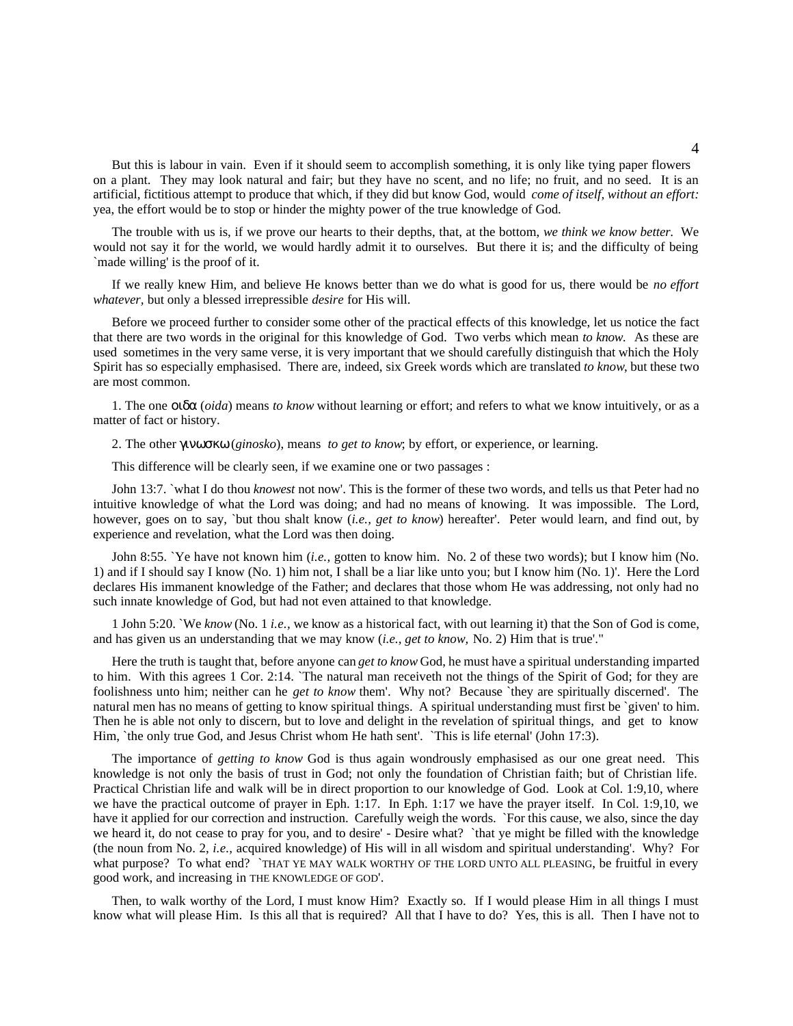But this is labour in vain. Even if it should seem to accomplish something, it is only like tying paper flowers on a plant. They may look natural and fair; but they have no scent, and no life; no fruit, and no seed. It is an artificial, fictitious attempt to produce that which, if they did but know God, would *come of itself, without an effort:* yea, the effort would be to stop or hinder the mighty power of the true knowledge of God.

The trouble with us is, if we prove our hearts to their depths, that, at the bottom, *we think we know better.* We would not say it for the world, we would hardly admit it to ourselves. But there it is; and the difficulty of being `made willing' is the proof of it.

If we really knew Him, and believe He knows better than we do what is good for us, there would be *no effort whatever,* but only a blessed irrepressible *desire* for His will.

Before we proceed further to consider some other of the practical effects of this knowledge, let us notice the fact that there are two words in the original for this knowledge of God. Two verbs which mean *to know.* As these are used sometimes in the very same verse, it is very important that we should carefully distinguish that which the Holy Spirit has so especially emphasised. There are, indeed, six Greek words which are translated *to know*, but these two are most common.

1. The one οιδα (*oida*) means *to know* without learning or effort; and refers to what we know intuitively, or as a matter of fact or history.

2. The other γινωσκω (*ginosko*), means *to get to know*; by effort, or experience, or learning.

This difference will be clearly seen, if we examine one or two passages :

John 13:7. `what I do thou *knowest* not now'. This is the former of these two words, and tells us that Peter had no intuitive knowledge of what the Lord was doing; and had no means of knowing. It was impossible. The Lord, however, goes on to say, `but thou shalt know (*i.e., get to know*) hereafter'. Peter would learn, and find out, by experience and revelation, what the Lord was then doing.

John 8:55. `Ye have not known him (*i.e.,* gotten to know him. No. 2 of these two words); but I know him (No. 1) and if I should say I know (No. 1) him not, I shall be a liar like unto you; but I know him (No. 1)'. Here the Lord declares His immanent knowledge of the Father; and declares that those whom He was addressing, not only had no such innate knowledge of God, but had not even attained to that knowledge.

1 John 5:20. `We *know* (No. 1 *i.e.,* we know as a historical fact, with out learning it) that the Son of God is come, and has given us an understanding that we may know (*i.e., get to know,* No. 2) Him that is true'."

Here the truth is taught that, before anyone can *get to know* God, he must have a spiritual understanding imparted to him. With this agrees 1 Cor. 2:14. `The natural man receiveth not the things of the Spirit of God; for they are foolishness unto him; neither can he *get to know* them'. Why not? Because `they are spiritually discerned'. The natural men has no means of getting to know spiritual things. A spiritual understanding must first be `given' to him. Then he is able not only to discern, but to love and delight in the revelation of spiritual things, and get to know Him, `the only true God, and Jesus Christ whom He hath sent'. `This is life eternal' (John 17:3).

The importance of *getting to know* God is thus again wondrously emphasised as our one great need. This knowledge is not only the basis of trust in God; not only the foundation of Christian faith; but of Christian life. Practical Christian life and walk will be in direct proportion to our knowledge of God. Look at Col. 1:9,10, where we have the practical outcome of prayer in Eph. 1:17. In Eph. 1:17 we have the prayer itself. In Col. 1:9,10, we have it applied for our correction and instruction. Carefully weigh the words. `For this cause, we also, since the day we heard it, do not cease to pray for you, and to desire' - Desire what? `that ye might be filled with the knowledge (the noun from No. 2, *i.e.,* acquired knowledge) of His will in all wisdom and spiritual understanding'. Why? For what purpose? To what end? `THAT YE MAY WALK WORTHY OF THE LORD UNTO ALL PLEASING, be fruitful in every good work, and increasing in THE KNOWLEDGE OF GOD'.

Then, to walk worthy of the Lord, I must know Him? Exactly so. If I would please Him in all things I must know what will please Him. Is this all that is required? All that I have to do? Yes, this is all. Then I have not to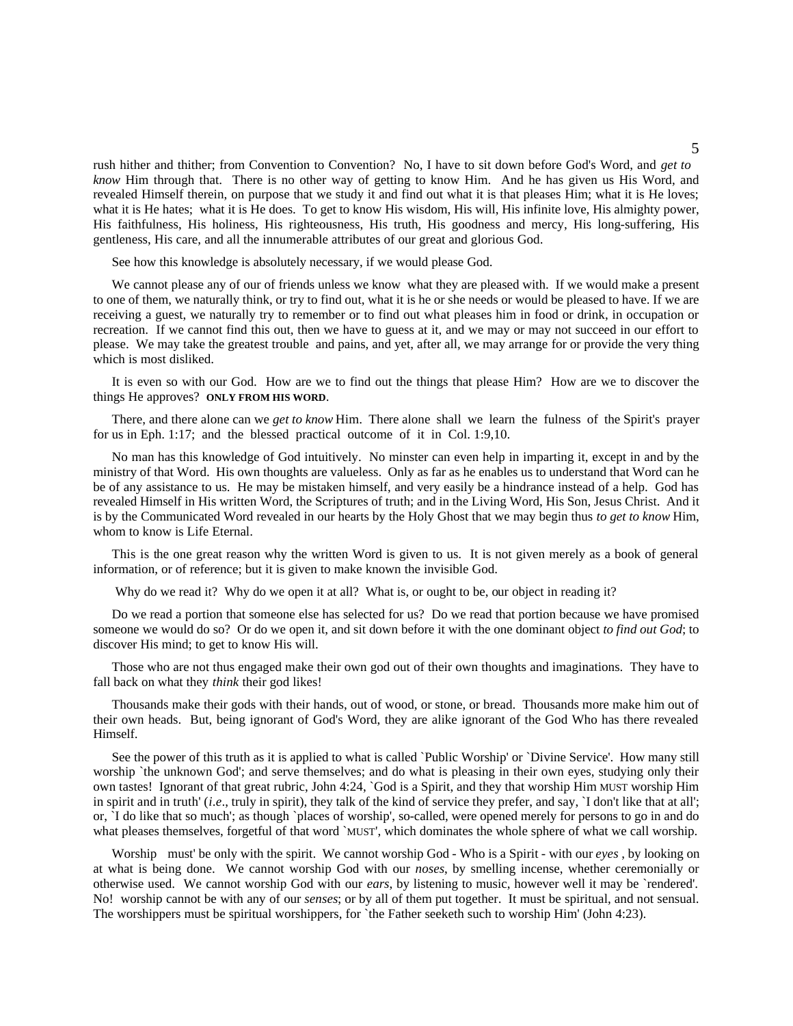rush hither and thither; from Convention to Convention? No, I have to sit down before God's Word, and *get to know* Him through that. There is no other way of getting to know Him. And he has given us His Word, and revealed Himself therein, on purpose that we study it and find out what it is that pleases Him; what it is He loves; what it is He hates; what it is He does. To get to know His wisdom, His will, His infinite love, His almighty power, His faithfulness, His holiness, His righteousness, His truth, His goodness and mercy, His long-suffering, His gentleness, His care, and all the innumerable attributes of our great and glorious God.

See how this knowledge is absolutely necessary, if we would please God.

We cannot please any of our of friends unless we know what they are pleased with. If we would make a present to one of them, we naturally think, or try to find out, what it is he or she needs or would be pleased to have. If we are receiving a guest, we naturally try to remember or to find out what pleases him in food or drink, in occupation or recreation. If we cannot find this out, then we have to guess at it, and we may or may not succeed in our effort to please. We may take the greatest trouble and pains, and yet, after all, we may arrange for or provide the very thing which is most disliked.

It is even so with our God. How are we to find out the things that please Him? How are we to discover the things He approves? **ONLY FROM HIS WORD**.

There, and there alone can we *get to know* Him. There alone shall we learn the fulness of the Spirit's prayer for us in Eph. 1:17; and the blessed practical outcome of it in Col. 1:9,10.

No man has this knowledge of God intuitively. No minster can even help in imparting it, except in and by the ministry of that Word. His own thoughts are valueless. Only as far as he enables us to understand that Word can he be of any assistance to us. He may be mistaken himself, and very easily be a hindrance instead of a help. God has revealed Himself in His written Word, the Scriptures of truth; and in the Living Word, His Son, Jesus Christ. And it is by the Communicated Word revealed in our hearts by the Holy Ghost that we may begin thus *to get to know* Him, whom to know is Life Eternal.

This is the one great reason why the written Word is given to us. It is not given merely as a book of general information, or of reference; but it is given to make known the invisible God.

Why do we read it? Why do we open it at all? What is, or ought to be, our object in reading it?

Do we read a portion that someone else has selected for us? Do we read that portion because we have promised someone we would do so? Or do we open it, and sit down before it with the one dominant object *to find out God*; to discover His mind; to get to know His will.

Those who are not thus engaged make their own god out of their own thoughts and imaginations. They have to fall back on what they *think* their god likes!

Thousands make their gods with their hands, out of wood, or stone, or bread. Thousands more make him out of their own heads. But, being ignorant of God's Word, they are alike ignorant of the God Who has there revealed Himself.

See the power of this truth as it is applied to what is called `Public Worship' or `Divine Service'. How many still worship `the unknown God'; and serve themselves; and do what is pleasing in their own eyes, studying only their own tastes! Ignorant of that great rubric, John 4:24, `God is a Spirit, and they that worship Him MUST worship Him in spirit and in truth' (*i*.*e*., truly in spirit), they talk of the kind of service they prefer, and say, `I don't like that at all'; or, `I do like that so much'; as though `places of worship', so-called, were opened merely for persons to go in and do what pleases themselves, forgetful of that word `MUST', which dominates the whole sphere of what we call worship.

Worship must' be only with the spirit. We cannot worship God - Who is a Spirit - with our *eyes* , by looking on at what is being done. We cannot worship God with our *noses*, by smelling incense, whether ceremonially or otherwise used. We cannot worship God with our *ears*, by listening to music, however well it may be `rendered'. No! worship cannot be with any of our *senses*; or by all of them put together. It must be spiritual, and not sensual. The worshippers must be spiritual worshippers, for 'the Father seeketh such to worship Him' (John 4:23).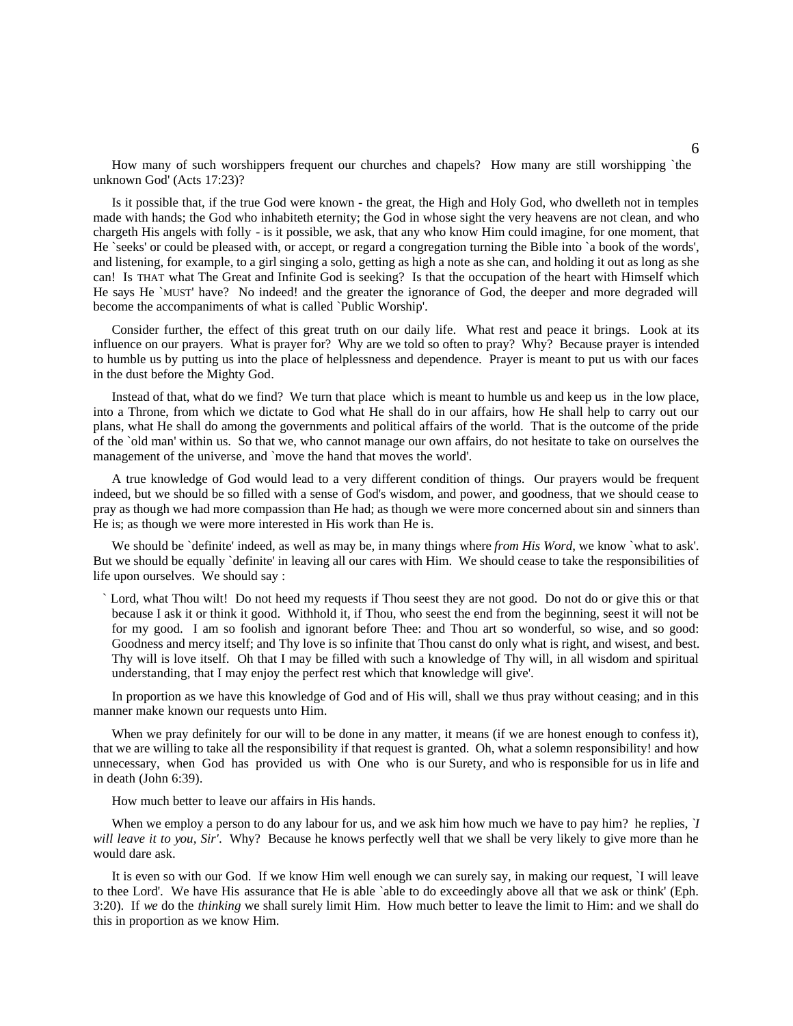How many of such worshippers frequent our churches and chapels? How many are still worshipping `the unknown God' (Acts 17:23)?

Is it possible that, if the true God were known - the great, the High and Holy God, who dwelleth not in temples made with hands; the God who inhabiteth eternity; the God in whose sight the very heavens are not clean, and who chargeth His angels with folly - is it possible, we ask, that any who know Him could imagine, for one moment, that He `seeks' or could be pleased with, or accept, or regard a congregation turning the Bible into `a book of the words', and listening, for example, to a girl singing a solo, getting as high a note as she can, and holding it out as long as she can! Is THAT what The Great and Infinite God is seeking? Is that the occupation of the heart with Himself which He says He `MUST' have? No indeed! and the greater the ignorance of God, the deeper and more degraded will become the accompaniments of what is called `Public Worship'.

Consider further, the effect of this great truth on our daily life. What rest and peace it brings. Look at its influence on our prayers. What is prayer for? Why are we told so often to pray? Why? Because prayer is intended to humble us by putting us into the place of helplessness and dependence. Prayer is meant to put us with our faces in the dust before the Mighty God.

Instead of that, what do we find? We turn that place which is meant to humble us and keep us in the low place, into a Throne, from which we dictate to God what He shall do in our affairs, how He shall help to carry out our plans, what He shall do among the governments and political affairs of the world. That is the outcome of the pride of the `old man' within us. So that we, who cannot manage our own affairs, do not hesitate to take on ourselves the management of the universe, and `move the hand that moves the world'.

A true knowledge of God would lead to a very different condition of things. Our prayers would be frequent indeed, but we should be so filled with a sense of God's wisdom, and power, and goodness, that we should cease to pray as though we had more compassion than He had; as though we were more concerned about sin and sinners than He is; as though we were more interested in His work than He is.

We should be `definite' indeed, as well as may be, in many things where *from His Word*, we know `what to ask'. But we should be equally `definite' in leaving all our cares with Him. We should cease to take the responsibilities of life upon ourselves. We should say :

` Lord, what Thou wilt! Do not heed my requests if Thou seest they are not good. Do not do or give this or that because I ask it or think it good. Withhold it, if Thou, who seest the end from the beginning, seest it will not be for my good. I am so foolish and ignorant before Thee: and Thou art so wonderful, so wise, and so good: Goodness and mercy itself; and Thy love is so infinite that Thou canst do only what is right, and wisest, and best. Thy will is love itself. Oh that I may be filled with such a knowledge of Thy will, in all wisdom and spiritual understanding, that I may enjoy the perfect rest which that knowledge will give'.

In proportion as we have this knowledge of God and of His will, shall we thus pray without ceasing; and in this manner make known our requests unto Him.

When we pray definitely for our will to be done in any matter, it means (if we are honest enough to confess it), that we are willing to take all the responsibility if that request is granted. Oh, what a solemn responsibility! and how unnecessary, when God has provided us with One who is our Surety, and who is responsible for us in life and in death (John 6:39).

How much better to leave our affairs in His hands.

When we employ a person to do any labour for us, and we ask him how much we have to pay him? he replies, *`I will leave it to you, Sir'*. Why? Because he knows perfectly well that we shall be very likely to give more than he would dare ask.

It is even so with our God. If we know Him well enough we can surely say, in making our request, `I will leave to thee Lord'. We have His assurance that He is able `able to do exceedingly above all that we ask or think' (Eph. 3:20). If *we* do the *thinking* we shall surely limit Him. How much better to leave the limit to Him: and we shall do this in proportion as we know Him.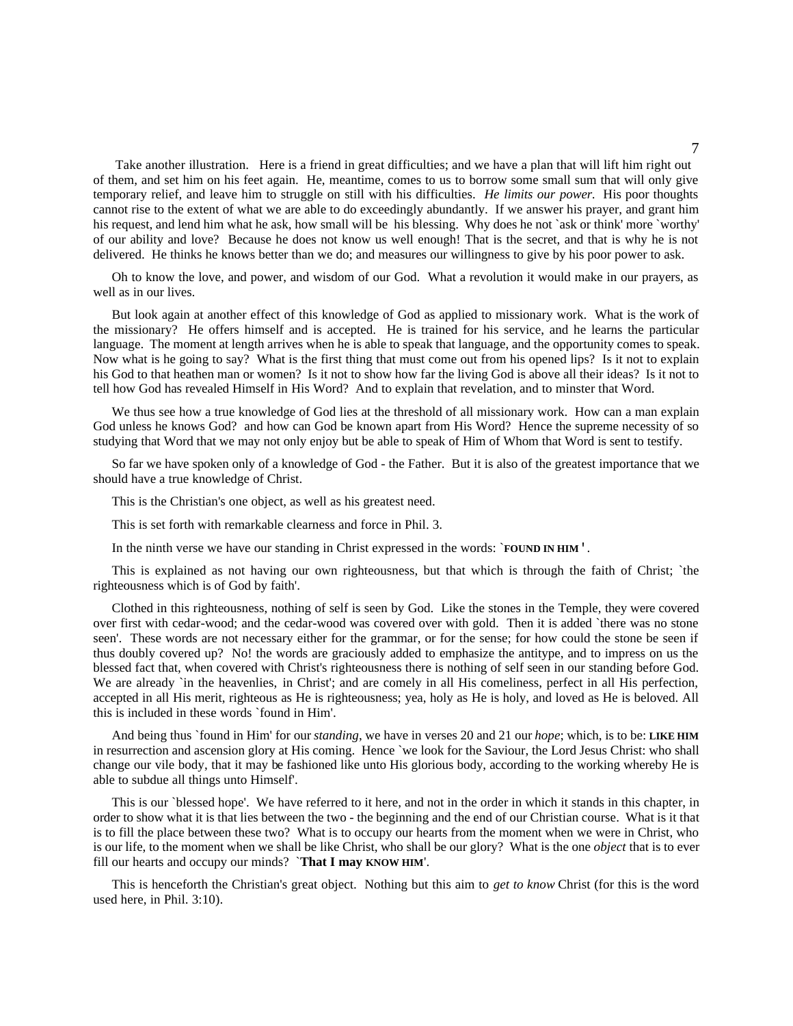Take another illustration. Here is a friend in great difficulties; and we have a plan that will lift him right out of them, and set him on his feet again. He, meantime, comes to us to borrow some small sum that will only give temporary relief, and leave him to struggle on still with his difficulties. *He limits our power*. His poor thoughts cannot rise to the extent of what we are able to do exceedingly abundantly. If we answer his prayer, and grant him his request, and lend him what he ask, how small will be his blessing. Why does he not `ask or think' more `worthy' of our ability and love? Because he does not know us well enough! That is the secret, and that is why he is not delivered. He thinks he knows better than we do; and measures our willingness to give by his poor power to ask.

Oh to know the love, and power, and wisdom of our God. What a revolution it would make in our prayers, as well as in our lives.

But look again at another effect of this knowledge of God as applied to missionary work. What is the work of the missionary? He offers himself and is accepted. He is trained for his service, and he learns the particular language. The moment at length arrives when he is able to speak that language, and the opportunity comes to speak. Now what is he going to say? What is the first thing that must come out from his opened lips? Is it not to explain his God to that heathen man or women? Is it not to show how far the living God is above all their ideas? Is it not to tell how God has revealed Himself in His Word? And to explain that revelation, and to minster that Word.

We thus see how a true knowledge of God lies at the threshold of all missionary work. How can a man explain God unless he knows God? and how can God be known apart from His Word? Hence the supreme necessity of so studying that Word that we may not only enjoy but be able to speak of Him of Whom that Word is sent to testify.

So far we have spoken only of a knowledge of God - the Father. But it is also of the greatest importance that we should have a true knowledge of Christ.

This is the Christian's one object, as well as his greatest need.

This is set forth with remarkable clearness and force in Phil. 3.

In the ninth verse we have our standing in Christ expressed in the words: `**FOUND IN HIM**'.

This is explained as not having our own righteousness, but that which is through the faith of Christ; `the righteousness which is of God by faith'.

Clothed in this righteousness, nothing of self is seen by God. Like the stones in the Temple, they were covered over first with cedar-wood; and the cedar-wood was covered over with gold. Then it is added `there was no stone seen'. These words are not necessary either for the grammar, or for the sense; for how could the stone be seen if thus doubly covered up? No! the words are graciously added to emphasize the antitype, and to impress on us the blessed fact that, when covered with Christ's righteousness there is nothing of self seen in our standing before God. We are already `in the heavenlies, in Christ'; and are comely in all His comeliness, perfect in all His perfection, accepted in all His merit, righteous as He is righteousness; yea, holy as He is holy, and loved as He is beloved. All this is included in these words `found in Him'.

And being thus `found in Him' for our *standing*, we have in verses 20 and 21 our *hope*; which, is to be: **LIKE HIM** in resurrection and ascension glory at His coming. Hence `we look for the Saviour, the Lord Jesus Christ: who shall change our vile body, that it may be fashioned like unto His glorious body, according to the working whereby He is able to subdue all things unto Himself'.

This is our `blessed hope'. We have referred to it here, and not in the order in which it stands in this chapter, in order to show what it is that lies between the two - the beginning and the end of our Christian course. What is it that is to fill the place between these two? What is to occupy our hearts from the moment when we were in Christ, who is our life, to the moment when we shall be like Christ, who shall be our glory? What is the one *object* that is to ever fill our hearts and occupy our minds? `**That I may KNOW HIM**'.

This is henceforth the Christian's great object. Nothing but this aim to *get to know* Christ (for this is the word used here, in Phil. 3:10).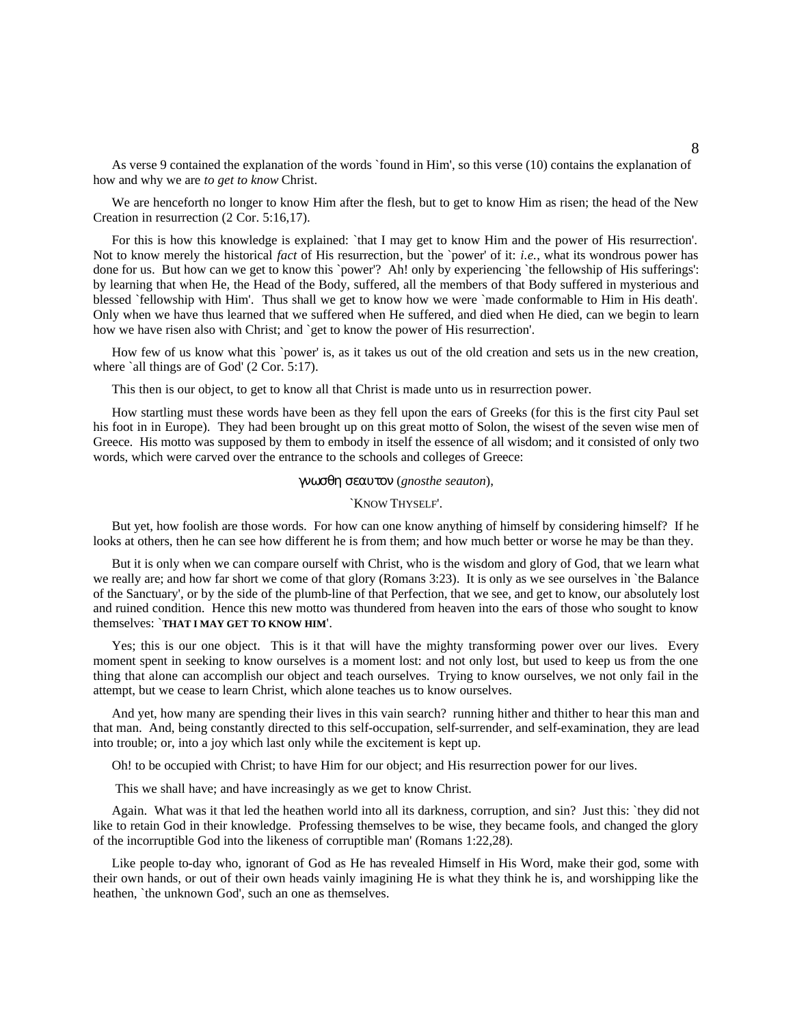As verse 9 contained the explanation of the words `found in Him', so this verse (10) contains the explanation of how and why we are *to get to know* Christ.

We are henceforth no longer to know Him after the flesh, but to get to know Him as risen; the head of the New Creation in resurrection (2 Cor. 5:16,17).

For this is how this knowledge is explained: `that I may get to know Him and the power of His resurrection'. Not to know merely the historical *fact* of His resurrection, but the `power' of it: *i.e.*, what its wondrous power has done for us. But how can we get to know this `power'? Ah! only by experiencing `the fellowship of His sufferings': by learning that when He, the Head of the Body, suffered, all the members of that Body suffered in mysterious and blessed `fellowship with Him'. Thus shall we get to know how we were `made conformable to Him in His death'. Only when we have thus learned that we suffered when He suffered, and died when He died, can we begin to learn how we have risen also with Christ; and `get to know the power of His resurrection'.

How few of us know what this `power' is, as it takes us out of the old creation and sets us in the new creation, where `all things are of God' (2 Cor. 5:17).

This then is our object, to get to know all that Christ is made unto us in resurrection power.

How startling must these words have been as they fell upon the ears of Greeks (for this is the first city Paul set his foot in in Europe). They had been brought up on this great motto of Solon, the wisest of the seven wise men of Greece. His motto was supposed by them to embody in itself the essence of all wisdom; and it consisted of only two words, which were carved over the entrance to the schools and colleges of Greece:

#### γνωσθη σεαυτον (*gnosthe seauton*),

#### `KNOW THYSELF'.

But yet, how foolish are those words. For how can one know anything of himself by considering himself? If he looks at others, then he can see how different he is from them; and how much better or worse he may be than they.

But it is only when we can compare ourself with Christ, who is the wisdom and glory of God, that we learn what we really are; and how far short we come of that glory (Romans 3:23). It is only as we see ourselves in `the Balance of the Sanctuary', or by the side of the plumb-line of that Perfection, that we see, and get to know, our absolutely lost and ruined condition. Hence this new motto was thundered from heaven into the ears of those who sought to know themselves: `**THAT I MAY GET TO KNOW HIM**'.

Yes; this is our one object. This is it that will have the mighty transforming power over our lives. Every moment spent in seeking to know ourselves is a moment lost: and not only lost, but used to keep us from the one thing that alone can accomplish our object and teach ourselves. Trying to know ourselves, we not only fail in the attempt, but we cease to learn Christ, which alone teaches us to know ourselves.

And yet, how many are spending their lives in this vain search? running hither and thither to hear this man and that man. And, being constantly directed to this self-occupation, self-surrender, and self-examination, they are lead into trouble; or, into a joy which last only while the excitement is kept up.

Oh! to be occupied with Christ; to have Him for our object; and His resurrection power for our lives.

This we shall have; and have increasingly as we get to know Christ.

Again. What was it that led the heathen world into all its darkness, corruption, and sin? Just this: `they did not like to retain God in their knowledge. Professing themselves to be wise, they became fools, and changed the glory of the incorruptible God into the likeness of corruptible man' (Romans 1:22,28).

Like people to-day who, ignorant of God as He has revealed Himself in His Word, make their god, some with their own hands, or out of their own heads vainly imagining He is what they think he is, and worshipping like the heathen, `the unknown God', such an one as themselves.